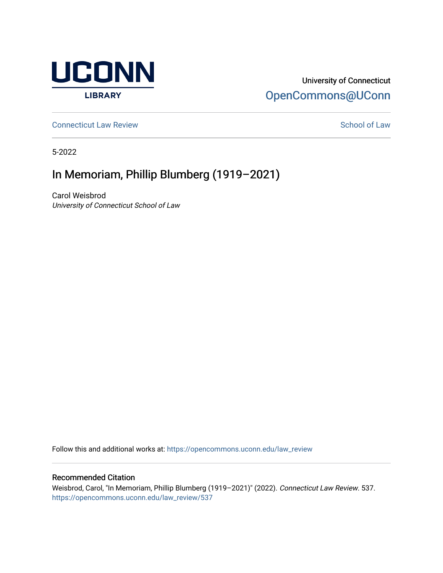

## University of Connecticut [OpenCommons@UConn](https://opencommons.uconn.edu/)

**[Connecticut Law Review](https://opencommons.uconn.edu/law_review) [School of Law](https://opencommons.uconn.edu/sol) Review School of Law School of Law School of Law School of Law School of Law School of Law School of Law School of Law School of Law School of Law School of Law School of Law School of** 

5-2022

## In Memoriam, Phillip Blumberg (1919–2021)

Carol Weisbrod University of Connecticut School of Law

Follow this and additional works at: [https://opencommons.uconn.edu/law\\_review](https://opencommons.uconn.edu/law_review?utm_source=opencommons.uconn.edu%2Flaw_review%2F537&utm_medium=PDF&utm_campaign=PDFCoverPages)

#### Recommended Citation

Weisbrod, Carol, "In Memoriam, Phillip Blumberg (1919–2021)" (2022). Connecticut Law Review. 537. [https://opencommons.uconn.edu/law\\_review/537](https://opencommons.uconn.edu/law_review/537?utm_source=opencommons.uconn.edu%2Flaw_review%2F537&utm_medium=PDF&utm_campaign=PDFCoverPages)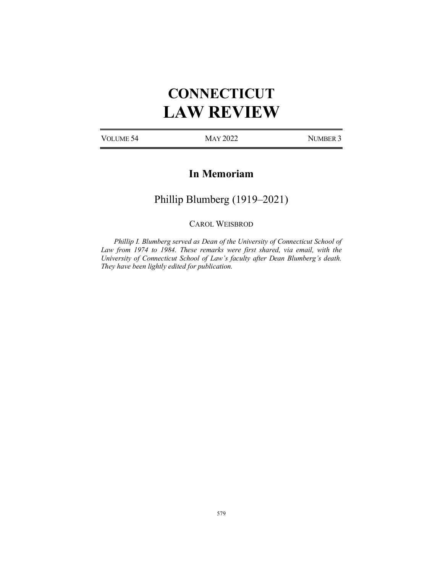# **CONNECTICUT LAW REVIEW**

VOLUME 54 MAY 2022 NUMBER 3

### **In Memoriam**

### Phillip Blumberg (1919–2021)

CAROL WEISBROD

*Phillip I. Blumberg served as Dean of the University of Connecticut School of Law from 1974 to 1984. These remarks were first shared, via email, with the University of Connecticut School of Law's faculty after Dean Blumberg's death. They have been lightly edited for publication.*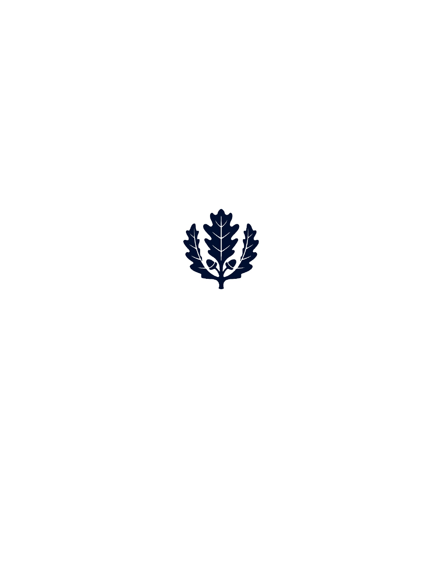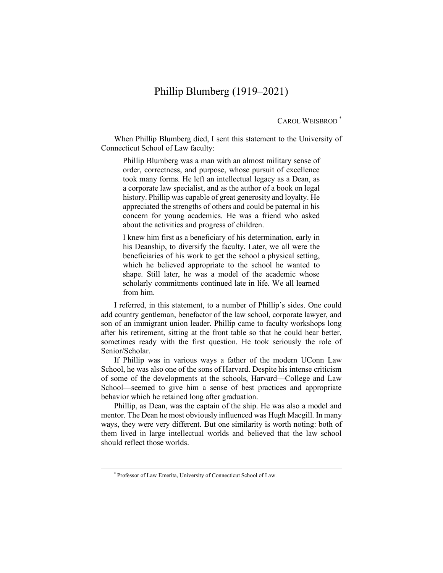### Phillip Blumberg (1919–2021)

CAROL WEISBROD \*

When Phillip Blumberg died, I sent this statement to the University of Connecticut School of Law faculty:

Phillip Blumberg was a man with an almost military sense of order, correctness, and purpose, whose pursuit of excellence took many forms. He left an intellectual legacy as a Dean, as a corporate law specialist, and as the author of a book on legal history. Phillip was capable of great generosity and loyalty. He appreciated the strengths of others and could be paternal in his concern for young academics. He was a friend who asked about the activities and progress of children.

I knew him first as a beneficiary of his determination, early in his Deanship, to diversify the faculty. Later, we all were the beneficiaries of his work to get the school a physical setting, which he believed appropriate to the school he wanted to shape. Still later, he was a model of the academic whose scholarly commitments continued late in life. We all learned from him.

I referred, in this statement, to a number of Phillip's sides. One could add country gentleman, benefactor of the law school, corporate lawyer, and son of an immigrant union leader. Phillip came to faculty workshops long after his retirement, sitting at the front table so that he could hear better, sometimes ready with the first question. He took seriously the role of Senior/Scholar.

If Phillip was in various ways a father of the modern UConn Law School, he was also one of the sons of Harvard. Despite his intense criticism of some of the developments at the schools, Harvard—College and Law School—seemed to give him a sense of best practices and appropriate behavior which he retained long after graduation.

Phillip, as Dean, was the captain of the ship. He was also a model and mentor. The Dean he most obviously influenced was Hugh Macgill. In many ways, they were very different. But one similarity is worth noting: both of them lived in large intellectual worlds and believed that the law school should reflect those worlds.

 <sup>\*</sup> Professor of Law Emerita, University of Connecticut School of Law.